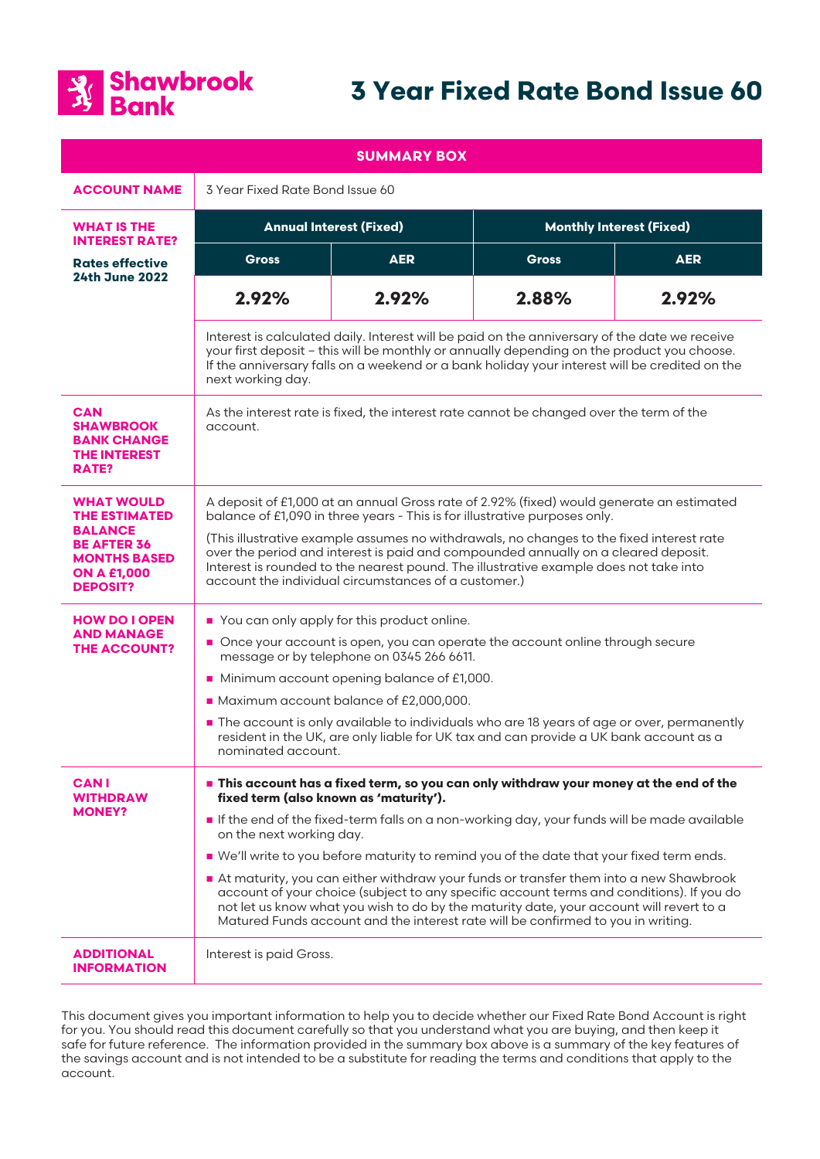

# **3 Year Fixed Rate Bond Issue 60**

| <b>SUMMARY BOX</b>                                                                                                                                |                                                                                                                                                                                                                                                                                                                                                                                                                                                                                                                                                                                                                                                                                                                           |            |                                 |            |
|---------------------------------------------------------------------------------------------------------------------------------------------------|---------------------------------------------------------------------------------------------------------------------------------------------------------------------------------------------------------------------------------------------------------------------------------------------------------------------------------------------------------------------------------------------------------------------------------------------------------------------------------------------------------------------------------------------------------------------------------------------------------------------------------------------------------------------------------------------------------------------------|------------|---------------------------------|------------|
| <b>ACCOUNT NAME</b>                                                                                                                               | 3 Year Fixed Rate Bond Issue 60                                                                                                                                                                                                                                                                                                                                                                                                                                                                                                                                                                                                                                                                                           |            |                                 |            |
| WHAT IS THE<br><b>INTEREST RATE?</b>                                                                                                              | <b>Annual Interest (Fixed)</b>                                                                                                                                                                                                                                                                                                                                                                                                                                                                                                                                                                                                                                                                                            |            | <b>Monthly Interest (Fixed)</b> |            |
| <b>Rates effective</b><br><b>24th June 2022</b>                                                                                                   | <b>Gross</b>                                                                                                                                                                                                                                                                                                                                                                                                                                                                                                                                                                                                                                                                                                              | <b>AER</b> | <b>Gross</b>                    | <b>AER</b> |
|                                                                                                                                                   | 2.92%                                                                                                                                                                                                                                                                                                                                                                                                                                                                                                                                                                                                                                                                                                                     | 2.92%      | 2.88%                           | 2.92%      |
|                                                                                                                                                   | Interest is calculated daily. Interest will be paid on the anniversary of the date we receive<br>your first deposit - this will be monthly or annually depending on the product you choose.<br>If the anniversary falls on a weekend or a bank holiday your interest will be credited on the<br>next working day.                                                                                                                                                                                                                                                                                                                                                                                                         |            |                                 |            |
| <b>CAN</b><br><b>SHAWBROOK</b><br><b>BANK CHANGE</b><br><b>THE INTEREST</b><br>RATE?                                                              | As the interest rate is fixed, the interest rate cannot be changed over the term of the<br>account.                                                                                                                                                                                                                                                                                                                                                                                                                                                                                                                                                                                                                       |            |                                 |            |
| <b>WHAT WOULD</b><br><b>THE ESTIMATED</b><br><b>BALANCE</b><br><b>BE AFTER 36</b><br><b>MONTHS BASED</b><br><b>ON A £1,000</b><br><b>DEPOSIT?</b> | A deposit of £1,000 at an annual Gross rate of 2.92% (fixed) would generate an estimated<br>balance of £1,090 in three years - This is for illustrative purposes only.<br>(This illustrative example assumes no withdrawals, no changes to the fixed interest rate<br>over the period and interest is paid and compounded annually on a cleared deposit.<br>Interest is rounded to the nearest pound. The illustrative example does not take into<br>account the individual circumstances of a customer.)                                                                                                                                                                                                                 |            |                                 |            |
| <b>HOW DO I OPEN</b><br><b>AND MANAGE</b><br><b>THE ACCOUNT?</b>                                                                                  | You can only apply for this product online.<br>Once your account is open, you can operate the account online through secure<br>message or by telephone on 0345 266 6611.<br>Minimum account opening balance of £1,000.<br>Maximum account balance of £2,000,000.<br>The account is only available to individuals who are 18 years of age or over, permanently<br>resident in the UK, are only liable for UK tax and can provide a UK bank account as a<br>nominated account.                                                                                                                                                                                                                                              |            |                                 |            |
| <b>CAN I</b><br>WITHDRAW<br><b>MONEY?</b>                                                                                                         | This account has a fixed term, so you can only withdraw your money at the end of the<br>fixed term (also known as 'maturity').<br>If the end of the fixed-term falls on a non-working day, your funds will be made available<br>on the next working day.<br>■ We'll write to you before maturity to remind you of the date that your fixed term ends.<br>At maturity, you can either withdraw your funds or transfer them into a new Shawbrook<br>account of your choice (subject to any specific account terms and conditions). If you do<br>not let us know what you wish to do by the maturity date, your account will revert to a<br>Matured Funds account and the interest rate will be confirmed to you in writing. |            |                                 |            |
| <b>ADDITIONAL</b><br><b>INFORMATION</b>                                                                                                           | Interest is paid Gross.                                                                                                                                                                                                                                                                                                                                                                                                                                                                                                                                                                                                                                                                                                   |            |                                 |            |

This document gives you important information to help you to decide whether our Fixed Rate Bond Account is right for you. You should read this document carefully so that you understand what you are buying, and then keep it safe for future reference. The information provided in the summary box above is a summary of the key features of the savings account and is not intended to be a substitute for reading the terms and conditions that apply to the account.